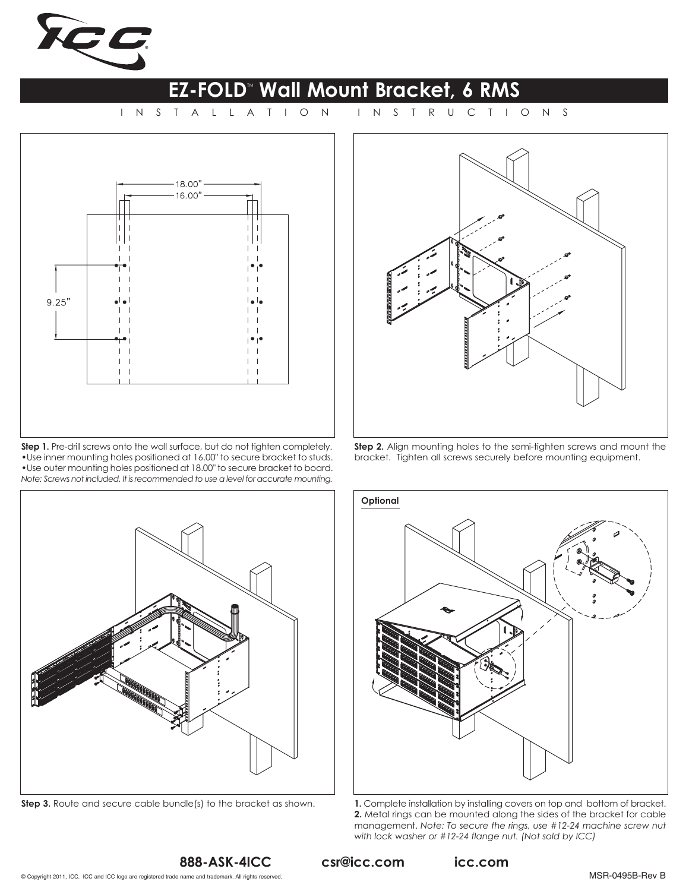

## **EZ-FOLD<sup>"</sup> Wall Mount Bracket, 6 RMS**<br>TALLATION INSTRUCTIONS

INSTALLATION



**Step 1.** Pre-drill screws onto the wall surface, but do not tighten completely. •Use inner mounting holes positioned at 16.00" to secure bracket to studs. •Use outer mounting holes positioned at 18.00" to secure bracket to board. *Note: Screws not included. It is recommended to use a level for accurate mounting.*



**Step 2.** Align mounting holes to the semi-tighten screws and mount the bracket. Tighten all screws securely before mounting equipment.





**Step 3.** Route and secure cable bundle(s) to the bracket as shown. **1.** Complete installation by installing covers on top and bottom of bracket. **2.** Metal rings can be mounted along the sides of the bracket for cable management. *Note: To secure the rings, use #12-24 machine screw nut with lock washer or #12-24 flange nut. (Not sold by ICC)*

csr@icc.com

icc.com